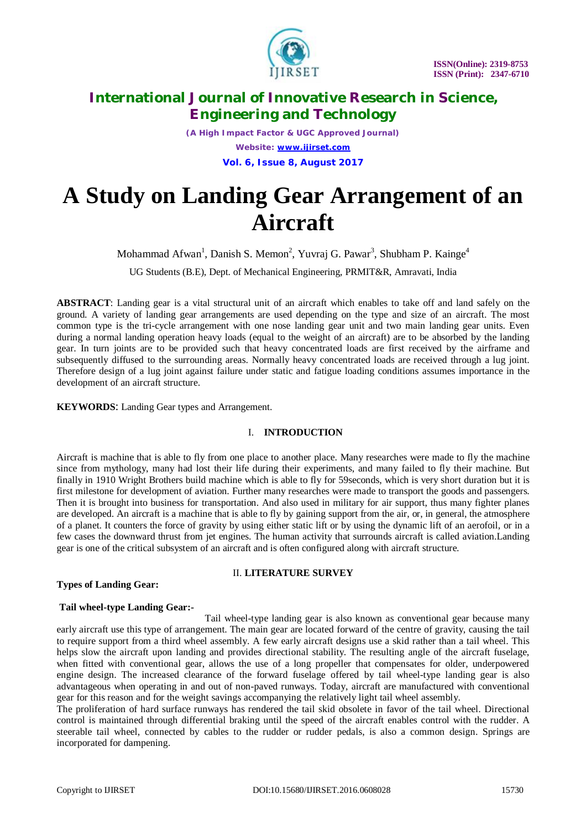

*(A High Impact Factor & UGC Approved Journal) Website: [www.ijirset.com](http://www.ijirset.com)* **Vol. 6, Issue 8, August 2017**

# **A Study on Landing Gear Arrangement of an Aircraft**

Mohammad Afwan<sup>1</sup>, Danish S. Memon<sup>2</sup>, Yuvraj G. Pawar<sup>3</sup>, Shubham P. Kainge<sup>4</sup>

UG Students (B.E), Dept. of Mechanical Engineering, PRMIT&R, Amravati, India

**ABSTRACT**: Landing gear is a vital structural unit of an aircraft which enables to take off and land safely on the ground. A variety of landing gear arrangements are used depending on the type and size of an aircraft. The most common type is the tri-cycle arrangement with one nose landing gear unit and two main landing gear units. Even during a normal landing operation heavy loads (equal to the weight of an aircraft) are to be absorbed by the landing gear. In turn joints are to be provided such that heavy concentrated loads are first received by the airframe and subsequently diffused to the surrounding areas. Normally heavy concentrated loads are received through a lug joint. Therefore design of a lug joint against failure under static and fatigue loading conditions assumes importance in the development of an aircraft structure.

**KEYWORDS**: Landing Gear types and Arrangement.

### I. **INTRODUCTION**

Aircraft is machine that is able to fly from one place to another place. Many researches were made to fly the machine since from mythology, many had lost their life during their experiments, and many failed to fly their machine. But finally in 1910 Wright Brothers build machine which is able to fly for 59seconds, which is very short duration but it is first milestone for development of aviation. Further many researches were made to transport the goods and passengers. Then it is brought into business for transportation. And also used in military for air support, thus many fighter planes are developed. An aircraft is a machine that is able to fly by gaining support from the air, or, in general, the atmosphere of a planet. It counters the force of gravity by using either static lift or by using the dynamic lift of an aerofoil, or in a few cases the downward thrust from jet engines. The human activity that surrounds aircraft is called aviation.Landing gear is one of the critical subsystem of an aircraft and is often configured along with aircraft structure.

### **Types of Landing Gear:**

### II. **LITERATURE SURVEY**

### **Tail wheel-type Landing Gear:-**

 Tail wheel-type landing gear is also known as conventional gear because many early aircraft use this type of arrangement. The main gear are located forward of the centre of gravity, causing the tail to require support from a third wheel assembly. A few early aircraft designs use a skid rather than a tail wheel. This helps slow the aircraft upon landing and provides directional stability. The resulting angle of the aircraft fuselage, when fitted with conventional gear, allows the use of a long propeller that compensates for older, underpowered engine design. The increased clearance of the forward fuselage offered by tail wheel-type landing gear is also advantageous when operating in and out of non-paved runways. Today, aircraft are manufactured with conventional gear for this reason and for the weight savings accompanying the relatively light tail wheel assembly.

The proliferation of hard surface runways has rendered the tail skid obsolete in favor of the tail wheel. Directional control is maintained through differential braking until the speed of the aircraft enables control with the rudder. A steerable tail wheel, connected by cables to the rudder or rudder pedals, is also a common design. Springs are incorporated for dampening.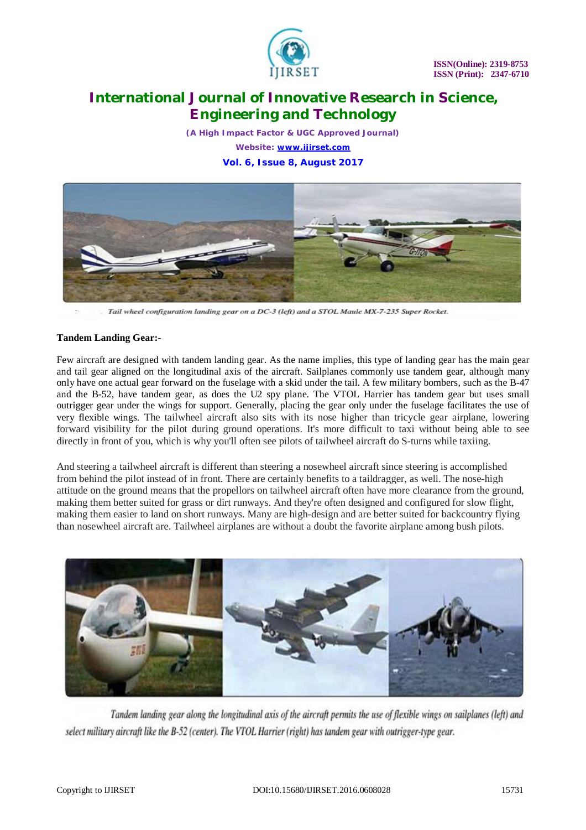

*(A High Impact Factor & UGC Approved Journal) Website: [www.ijirset.com](http://www.ijirset.com)* **Vol. 6, Issue 8, August 2017**



Tail wheel configuration landing gear on a DC-3 (left) and a STOL Maule MX-7-235 Super Rocket.

#### **Tandem Landing Gear:-**

Few aircraft are designed with tandem landing gear. As the name implies, this type of landing gear has the main gear and tail gear aligned on the longitudinal axis of the aircraft. Sailplanes commonly use tandem gear, although many only have one actual gear forward on the fuselage with a skid under the tail. A few military bombers, such as the B-47 and the B-52, have tandem gear, as does the U2 spy plane. The VTOL Harrier has tandem gear but uses small outrigger gear under the wings for support. Generally, placing the gear only under the fuselage facilitates the use of very flexible wings. The tailwheel aircraft also sits with its nose higher than tricycle gear airplane, lowering forward visibility for the pilot during ground operations. It's more difficult to taxi without being able to see directly in front of you, which is why you'll often see pilots of tailwheel aircraft do S-turns while taxiing.

And steering a tailwheel aircraft is different than steering a nosewheel aircraft since steering is accomplished from behind the pilot instead of in front. There are certainly benefits to a taildragger, as well. The nose-high attitude on the ground means that the propellors on tailwheel aircraft often have more clearance from the ground, making them better suited for grass or dirt runways. And they're often designed and configured for slow flight, making them easier to land on short runways. Many are high-design and are better suited for backcountry flying than nosewheel aircraft are. Tailwheel airplanes are without a doubt the favorite airplane among bush pilots.



Tandem landing gear along the longitudinal axis of the aircraft permits the use of flexible wings on sailplanes (left) and select military aircraft like the B-52 (center). The VTOL Harrier (right) has tandem gear with outrigger-type gear.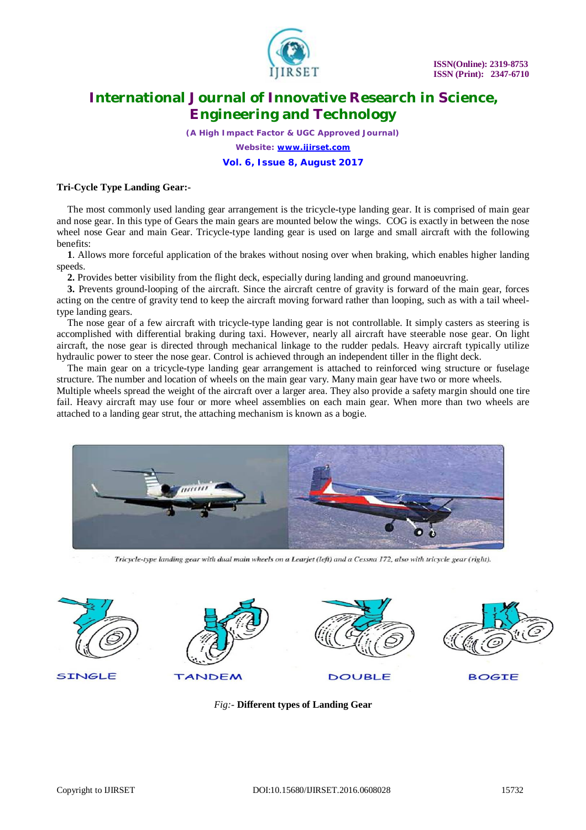

*(A High Impact Factor & UGC Approved Journal)*

*Website: [www.ijirset.com](http://www.ijirset.com)*

**Vol. 6, Issue 8, August 2017**

### **Tri-Cycle Type Landing Gear:-**

The most commonly used landing gear arrangement is the tricycle-type landing gear. It is comprised of main gear and nose gear. In this type of Gears the main gears are mounted below the wings. COG is exactly in between the nose wheel nose Gear and main Gear. Tricycle-type landing gear is used on large and small aircraft with the following benefits:

**1**. Allows more forceful application of the brakes without nosing over when braking, which enables higher landing speeds.

**2.** Provides better visibility from the flight deck, especially during landing and ground manoeuvring.

**3.** Prevents ground-looping of the aircraft. Since the aircraft centre of gravity is forward of the main gear, forces acting on the centre of gravity tend to keep the aircraft moving forward rather than looping, such as with a tail wheeltype landing gears.

The nose gear of a few aircraft with tricycle-type landing gear is not controllable. It simply casters as steering is accomplished with differential braking during taxi. However, nearly all aircraft have steerable nose gear. On light aircraft, the nose gear is directed through mechanical linkage to the rudder pedals. Heavy aircraft typically utilize hydraulic power to steer the nose gear. Control is achieved through an independent tiller in the flight deck.

The main gear on a tricycle-type landing gear arrangement is attached to reinforced wing structure or fuselage structure. The number and location of wheels on the main gear vary. Many main gear have two or more wheels.

Multiple wheels spread the weight of the aircraft over a larger area. They also provide a safety margin should one tire fail. Heavy aircraft may use four or more wheel assemblies on each main gear. When more than two wheels are attached to a landing gear strut, the attaching mechanism is known as a bogie.



Tricycle-type landing gear with dual main wheels on a Learjet (left) and a Cessna 172, also with tricycle gear (right).



*Fig:*- **Different types of Landing Gear**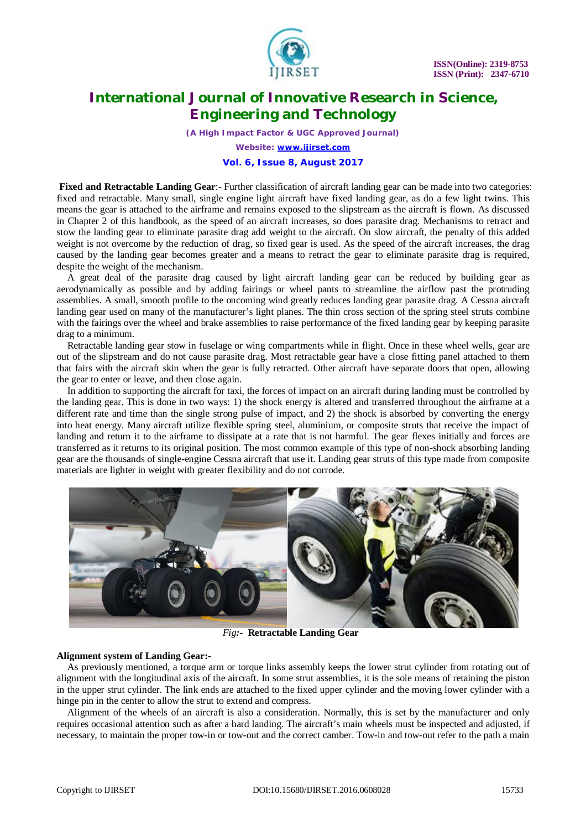

*(A High Impact Factor & UGC Approved Journal)*

*Website: [www.ijirset.com](http://www.ijirset.com)*

#### **Vol. 6, Issue 8, August 2017**

**Fixed and Retractable Landing Gear**:- Further classification of aircraft landing gear can be made into two categories: fixed and retractable. Many small, single engine light aircraft have fixed landing gear, as do a few light twins. This means the gear is attached to the airframe and remains exposed to the slipstream as the aircraft is flown. As discussed in Chapter 2 of this handbook, as the speed of an aircraft increases, so does parasite drag. Mechanisms to retract and stow the landing gear to eliminate parasite drag add weight to the aircraft. On slow aircraft, the penalty of this added weight is not overcome by the reduction of drag, so fixed gear is used. As the speed of the aircraft increases, the drag caused by the landing gear becomes greater and a means to retract the gear to eliminate parasite drag is required, despite the weight of the mechanism.

A great deal of the parasite drag caused by light aircraft landing gear can be reduced by building gear as aerodynamically as possible and by adding fairings or wheel pants to streamline the airflow past the protruding assemblies. A small, smooth profile to the oncoming wind greatly reduces landing gear parasite drag. A Cessna aircraft landing gear used on many of the manufacturer's light planes. The thin cross section of the spring steel struts combine with the fairings over the wheel and brake assemblies to raise performance of the fixed landing gear by keeping parasite drag to a minimum.

Retractable landing gear stow in fuselage or wing compartments while in flight. Once in these wheel wells, gear are out of the slipstream and do not cause parasite drag. Most retractable gear have a close fitting panel attached to them that fairs with the aircraft skin when the gear is fully retracted. Other aircraft have separate doors that open, allowing the gear to enter or leave, and then close again.

In addition to supporting the aircraft for taxi, the forces of impact on an aircraft during landing must be controlled by the landing gear. This is done in two ways: 1) the shock energy is altered and transferred throughout the airframe at a different rate and time than the single strong pulse of impact, and 2) the shock is absorbed by converting the energy into heat energy. Many aircraft utilize flexible spring steel, aluminium, or composite struts that receive the impact of landing and return it to the airframe to dissipate at a rate that is not harmful. The gear flexes initially and forces are transferred as it returns to its original position. The most common example of this type of non-shock absorbing landing gear are the thousands of single-engine Cessna aircraft that use it. Landing gear struts of this type made from composite materials are lighter in weight with greater flexibility and do not corrode.



*Fig:-* **Retractable Landing Gear**

#### **Alignment system of Landing Gear:-**

As previously mentioned, a torque arm or torque links assembly keeps the lower strut cylinder from rotating out of alignment with the longitudinal axis of the aircraft. In some strut assemblies, it is the sole means of retaining the piston in the upper strut cylinder. The link ends are attached to the fixed upper cylinder and the moving lower cylinder with a hinge pin in the center to allow the strut to extend and compress.

Alignment of the wheels of an aircraft is also a consideration. Normally, this is set by the manufacturer and only requires occasional attention such as after a hard landing. The aircraft's main wheels must be inspected and adjusted, if necessary, to maintain the proper tow-in or tow-out and the correct camber. Tow-in and tow-out refer to the path a main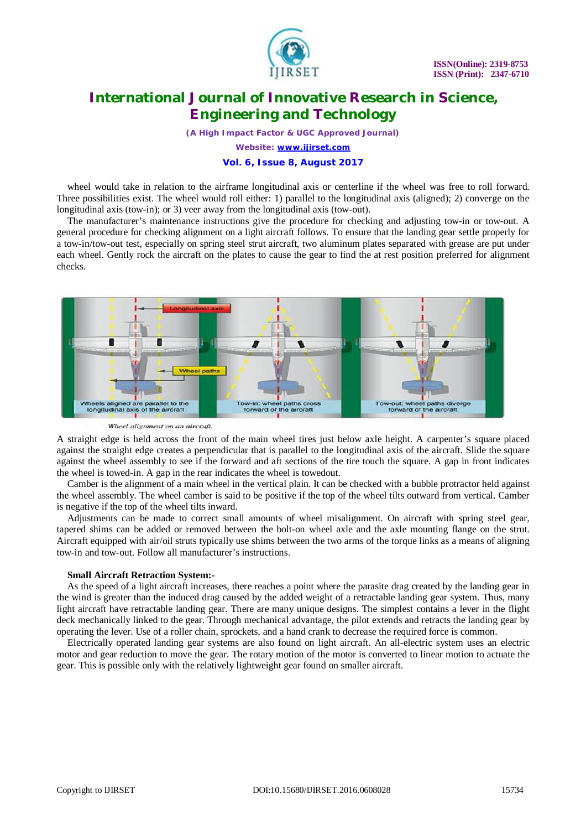

*(A High Impact Factor & UGC Approved Journal)*

*Website: [www.ijirset.com](http://www.ijirset.com)*

#### **Vol. 6, Issue 8, August 2017**

wheel would take in relation to the airframe longitudinal axis or centerline if the wheel was free to roll forward. Three possibilities exist. The wheel would roll either: 1) parallel to the longitudinal axis (aligned); 2) converge on the longitudinal axis (tow-in); or 3) veer away from the longitudinal axis (tow-out).

The manufacturer's maintenance instructions give the procedure for checking and adjusting tow-in or tow-out. A general procedure for checking alignment on a light aircraft follows. To ensure that the landing gear settle properly for a tow-in/tow-out test, especially on spring steel strut aircraft, two aluminum plates separated with grease are put under each wheel. Gently rock the aircraft on the plates to cause the gear to find the at rest position preferred for alignment checks.



Wheel alignment on an aircraft.

A straight edge is held across the front of the main wheel tires just below axle height. A carpenter's square placed against the straight edge creates a perpendicular that is parallel to the longitudinal axis of the aircraft. Slide the square against the wheel assembly to see if the forward and aft sections of the tire touch the square. A gap in front indicates the wheel is towed-in. A gap in the rear indicates the wheel is towedout.

Camber is the alignment of a main wheel in the vertical plain. It can be checked with a bubble protractor held against the wheel assembly. The wheel camber is said to be positive if the top of the wheel tilts outward from vertical. Camber is negative if the top of the wheel tilts inward.

Adjustments can be made to correct small amounts of wheel misalignment. On aircraft with spring steel gear, tapered shims can be added or removed between the bolt-on wheel axle and the axle mounting flange on the strut. Aircraft equipped with air/oil struts typically use shims between the two arms of the torque links as a means of aligning tow-in and tow-out. Follow all manufacturer's instructions.

#### **Small Aircraft Retraction System:-**

As the speed of a light aircraft increases, there reaches a point where the parasite drag created by the landing gear in the wind is greater than the induced drag caused by the added weight of a retractable landing gear system. Thus, many light aircraft have retractable landing gear. There are many unique designs. The simplest contains a lever in the flight deck mechanically linked to the gear. Through mechanical advantage, the pilot extends and retracts the landing gear by operating the lever. Use of a roller chain, sprockets, and a hand crank to decrease the required force is common.

Electrically operated landing gear systems are also found on light aircraft. An all-electric system uses an electric motor and gear reduction to move the gear. The rotary motion of the motor is converted to linear motion to actuate the gear. This is possible only with the relatively lightweight gear found on smaller aircraft.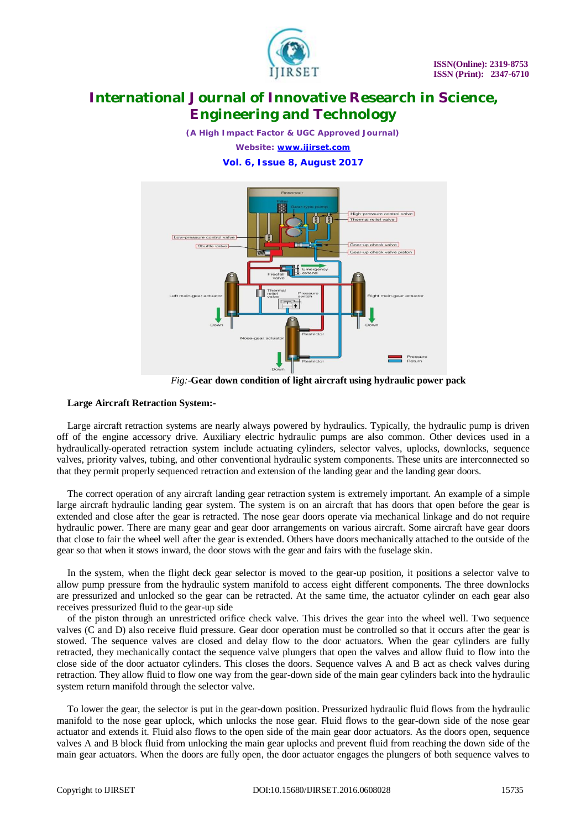

*(A High Impact Factor & UGC Approved Journal) Website: [www.ijirset.com](http://www.ijirset.com)* **Vol. 6, Issue 8, August 2017**



*Fig:*-**Gear down condition of light aircraft using hydraulic power pack**

### **Large Aircraft Retraction System:-**

Large aircraft retraction systems are nearly always powered by hydraulics. Typically, the hydraulic pump is driven off of the engine accessory drive. Auxiliary electric hydraulic pumps are also common. Other devices used in a hydraulically-operated retraction system include actuating cylinders, selector valves, uplocks, downlocks, sequence valves, priority valves, tubing, and other conventional hydraulic system components. These units are interconnected so that they permit properly sequenced retraction and extension of the landing gear and the landing gear doors.

The correct operation of any aircraft landing gear retraction system is extremely important. An example of a simple large aircraft hydraulic landing gear system. The system is on an aircraft that has doors that open before the gear is extended and close after the gear is retracted. The nose gear doors operate via mechanical linkage and do not require hydraulic power. There are many gear and gear door arrangements on various aircraft. Some aircraft have gear doors that close to fair the wheel well after the gear is extended. Others have doors mechanically attached to the outside of the gear so that when it stows inward, the door stows with the gear and fairs with the fuselage skin.

In the system, when the flight deck gear selector is moved to the gear-up position, it positions a selector valve to allow pump pressure from the hydraulic system manifold to access eight different components. The three downlocks are pressurized and unlocked so the gear can be retracted. At the same time, the actuator cylinder on each gear also receives pressurized fluid to the gear-up side

of the piston through an unrestricted orifice check valve. This drives the gear into the wheel well. Two sequence valves (C and D) also receive fluid pressure. Gear door operation must be controlled so that it occurs after the gear is stowed. The sequence valves are closed and delay flow to the door actuators. When the gear cylinders are fully retracted, they mechanically contact the sequence valve plungers that open the valves and allow fluid to flow into the close side of the door actuator cylinders. This closes the doors. Sequence valves A and B act as check valves during retraction. They allow fluid to flow one way from the gear-down side of the main gear cylinders back into the hydraulic system return manifold through the selector valve.

To lower the gear, the selector is put in the gear-down position. Pressurized hydraulic fluid flows from the hydraulic manifold to the nose gear uplock, which unlocks the nose gear. Fluid flows to the gear-down side of the nose gear actuator and extends it. Fluid also flows to the open side of the main gear door actuators. As the doors open, sequence valves A and B block fluid from unlocking the main gear uplocks and prevent fluid from reaching the down side of the main gear actuators. When the doors are fully open, the door actuator engages the plungers of both sequence valves to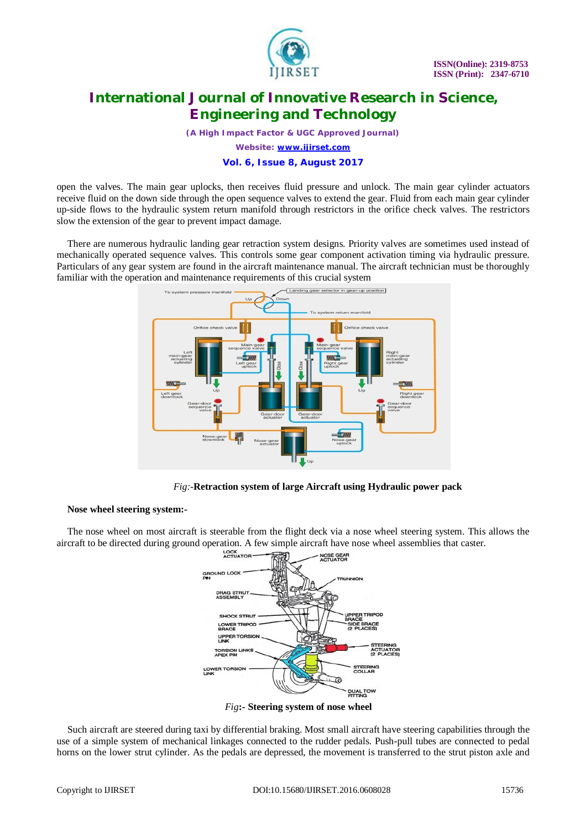

*(A High Impact Factor & UGC Approved Journal)*

*Website: [www.ijirset.com](http://www.ijirset.com)*

#### **Vol. 6, Issue 8, August 2017**

open the valves. The main gear uplocks, then receives fluid pressure and unlock. The main gear cylinder actuators receive fluid on the down side through the open sequence valves to extend the gear. Fluid from each main gear cylinder up-side flows to the hydraulic system return manifold through restrictors in the orifice check valves. The restrictors slow the extension of the gear to prevent impact damage.

There are numerous hydraulic landing gear retraction system designs. Priority valves are sometimes used instead of mechanically operated sequence valves. This controls some gear component activation timing via hydraulic pressure. Particulars of any gear system are found in the aircraft maintenance manual. The aircraft technician must be thoroughly familiar with the operation and maintenance requirements of this crucial system



 *Fig:-***Retraction system of large Aircraft using Hydraulic power pack**

### **Nose wheel steering system:-**

The nose wheel on most aircraft is steerable from the flight deck via a nose wheel steering system. This allows the aircraft to be directed during ground operation. A few simple aircraft have nose wheel assemblies that caster.



*Fig***:- Steering system of nose wheel**

Such aircraft are steered during taxi by differential braking. Most small aircraft have steering capabilities through the use of a simple system of mechanical linkages connected to the rudder pedals. Push-pull tubes are connected to pedal horns on the lower strut cylinder. As the pedals are depressed, the movement is transferred to the strut piston axle and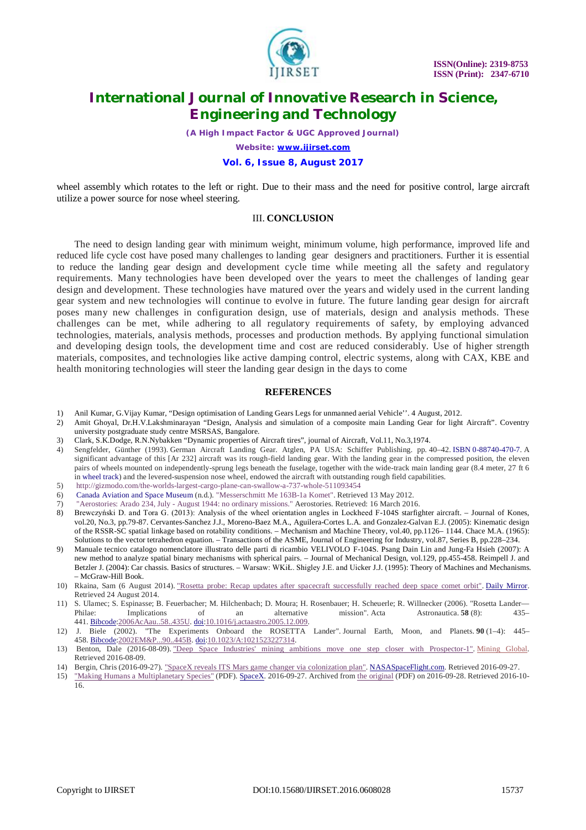

*(A High Impact Factor & UGC Approved Journal)*

*Website: [www.ijirset.com](http://www.ijirset.com)*

#### **Vol. 6, Issue 8, August 2017**

wheel assembly which rotates to the left or right. Due to their mass and the need for positive control, large aircraft utilize a power source for nose wheel steering.

#### III. **CONCLUSION**

The need to design landing gear with minimum weight, minimum volume, high performance, improved life and reduced life cycle cost have posed many challenges to landing gear designers and practitioners. Further it is essential to reduce the landing gear design and development cycle time while meeting all the safety and regulatory requirements. Many technologies have been developed over the years to meet the challenges of landing gear design and development. These technologies have matured over the years and widely used in the current landing gear system and new technologies will continue to evolve in future. The future landing gear design for aircraft poses many new challenges in configuration design, use of materials, design and analysis methods. These challenges can be met, while adhering to all regulatory requirements of safety, by employing advanced technologies, materials, analysis methods, processes and production methods. By applying functional simulation and developing design tools, the development time and cost are reduced considerably. Use of higher strength materials, composites, and technologies like active damping control, electric systems, along with CAX, KBE and health monitoring technologies will steer the landing gear design in the days to come

#### **REFERENCES**

- 1) Anil Kumar, G.Vijay Kumar, "Design optimisation of Landing Gears Legs for unmanned aerial Vehicle''. 4 August, 2012.
- 2) Amit Ghoyal, Dr.H.V.Lakshminarayan "Design, Analysis and simulation of a composite main Landing Gear for light Aircraft". Coventry university postgraduate study centre MSRSAS, Bangalore.
- 3) Clark, S.K.Dodge, R.N.Nybakken "Dynamic properties of Aircraft tires", journal of Aircraft, Vol.11, No.3,1974.
- 4) Sengfelder, Günther (1993). German Aircraft Landing Gear. Atglen, PA USA: Schiffer Publishing. pp. 40–42. ISBN 0-88740-470-7. A significant advantage of this [Ar 232] aircraft was its rough-field landing gear. With the landing gear in the compressed position, the eleven pairs of wheels mounted on independently-sprung legs beneath the fuselage, together with the wide-track main landing gear (8.4 meter, 27 ft 6 in wheel track) and the levered-suspension nose wheel, endowed the aircraft with outstanding rough field capabilities.
- 5) <http://gizmodo.com/the-worlds-largest-cargo-plane-can-swallow-a-737-whole-511093454>
- 6) Canada Aviation and Space Museum (n.d.). "Messerschmitt Me 163B-1a Komet". Retrieved 13 May 2012.
- 7) "Aerostories: Arado 234, July August 1944: no ordinary missions." Aerostories. Retrieved: 16 March 2016.
- 8) Brewczyński D. and Tora G. (2013): Analysis of the wheel orientation angles in Lockheed F-104S starfighter aircraft. Journal of Kones, vol.20, No.3, pp.79-87. Cervantes-Sanchez J.J., Moreno-Baez M.A., Aguilera-Cortes L.A. and Gonzalez-Galvan E.J. (2005): Kinematic design of the RSSR-SC spatial linkage based on rotability conditions. – Mechanism and Machine Theory, vol.40, pp.1126– 1144. Chace M.A. (1965): Solutions to the vector tetrahedron equation. – Transactions of the ASME, Journal of Engineering for Industry, vol.87, Series B, pp.228–234.
- 9) Manuale tecnico catalogo nomenclatore illustrato delle parti di ricambio VELIVOLO F-104S. Psang Dain Lin and Jung-Fa Hsieh (2007): A new method to analyze spatial binary mechanisms with spherical pairs. – Journal of Mechanical Design, vol.129, pp.455-458. Reimpell J. and Betzler J. (2004): Car chassis. Basics of structures. – Warsaw: WKiŁ. Shigley J.E. and Uicker J.J. (1995): Theory of Machines and Mechanisms. – McGraw-Hill Book.
- 10) Rkaina, Sam (6 August 2014). "Rosetta probe: Recap updates after spacecraft successfully reached deep space comet orbit". Daily Mirror. Retrieved 24 August 2014.
- 11) S. Ulamec; S. Espinasse; B. Feuerbacher; M. Hilchenbach; D. Moura; H. Rosenbauer; H. Scheuerle; R. Willnecker (2006). "Rosetta Lander—<br>Philae: Implications of an alternative mission". Acta Astronautica. 58 (8): 435-Philae: Implications of an alternative mission". Acta Astronautica. **58** (8): 435–
- 441. <u>Bibcode:2006AcAau..58..435U. doi:10.1016/j.actaastro.2005.12.009.</u><br>12) J. Biele (2002). "The Experiments Onboard the ROSETTA 12) J. Biele (2002). "The Experiments Onboard the ROSETTA Lander". Journal Earth, Moon, and Planets. **90** (1–4): 445– 458. Bibcode:2002EM&P...90..445B. doi:10.1023/A:1021523227314.
- 13) Benton, Dale (2016-08-09). "Deep Space Industries' mining ambitions move one step closer with Prospector-1". Mining Global. Retrieved 2016-08-09.
- 14) Bergin, Chris (2016-09-27). "SpaceX reveals ITS Mars game changer via colonization plan". NASASpaceFlight.com. Retrieved 2016-09-27.
- 15) "Making Humans a Multiplanetary Species" (PDF). SpaceX. 2016-09-27. Archived from the original (PDF) on 2016-09-28. Retrieved 2016-10- 16.